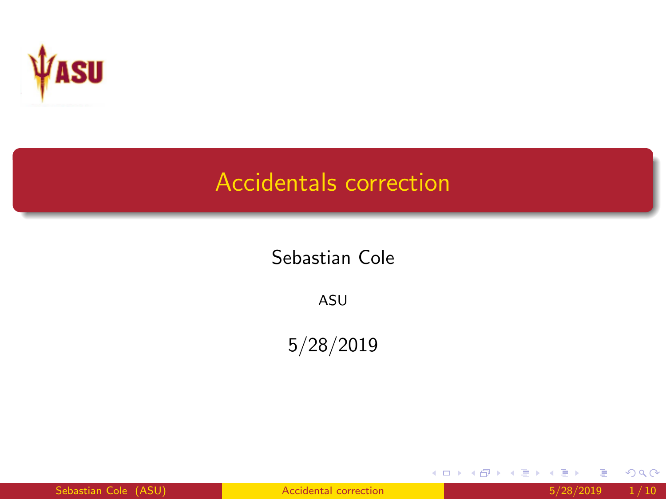<span id="page-0-0"></span>

### Accidentals correction

#### Sebastian Cole

ASU

5/28/2019

Sebastian Cole (ASU) and [Accidental correction](#page-9-0) 6 and 5/28/2019 1/10

重

メロトメ 倒 トメ ミトメ ミト

 $299$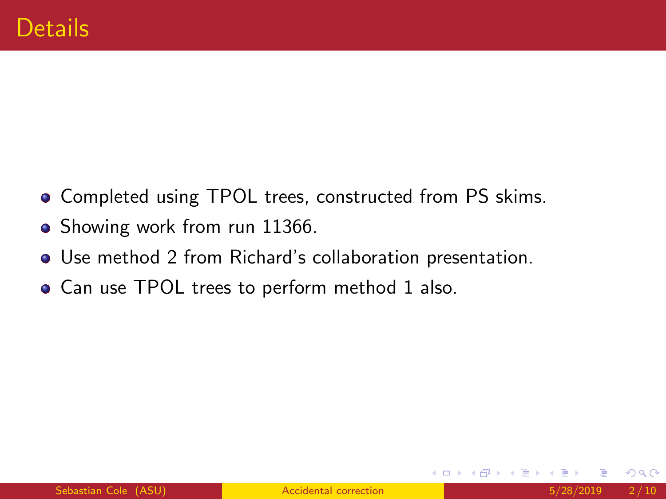- Completed using TPOL trees, constructed from PS skims.
- Showing work from run 11366.
- Use method 2 from Richard's collaboration presentation.
- Can use TPOL trees to perform method 1 also.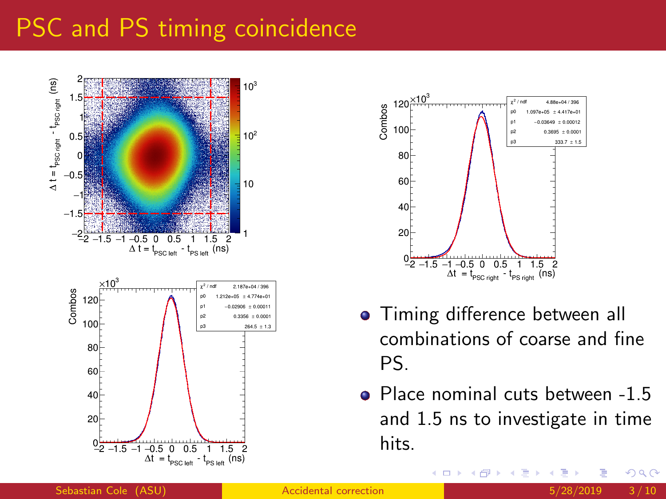# PSC and PS timing coincidence





- **•** Timing difference between all combinations of coarse and fine PS.
- Place nominal cuts between -1.5 and 1.5 ns to investigate in time hits.

化医头头

 $\leftarrow$   $\Box$ 

Sebastian Cole (ASU) **[Accidental correction](#page-0-0)** 5/28/2019 3/10

 $290$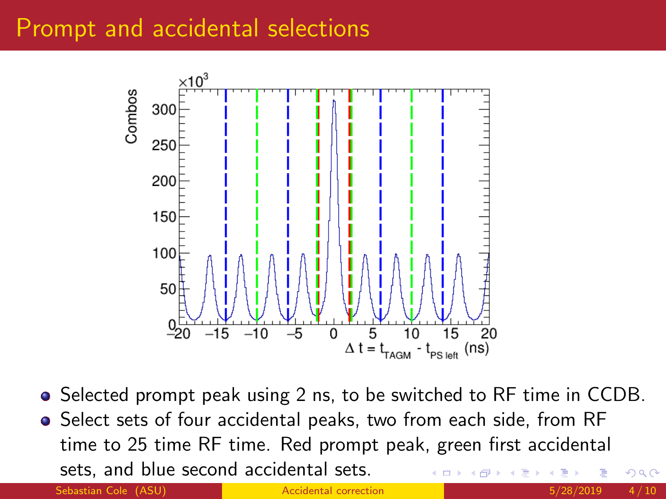#### Prompt and accidental selections



• Selected prompt peak using 2 ns, to be switched to RF time in CCDB. **•** Select sets of four accidental peaks, two from each side, from RF time to 25 time RF time. Red prompt peak, green first accidental sets, and blue second accidental sets.  $\Omega$ 

Sebastian Cole (ASU) and [Accidental correction](#page-0-0) 6/28/2019 4/10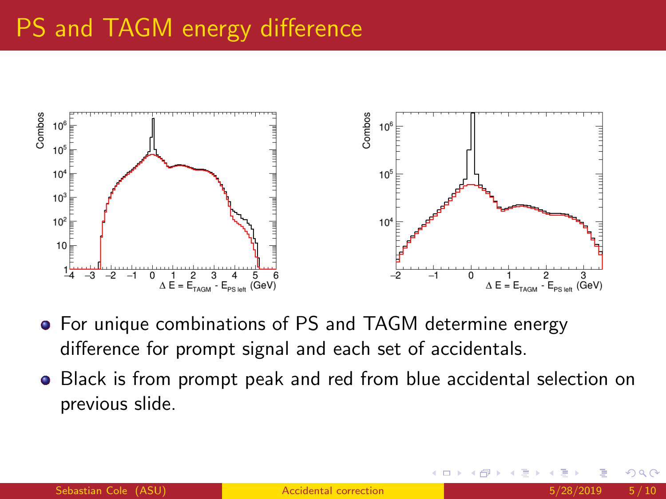# PS and TAGM energy difference



- For unique combinations of PS and TAGM determine energy difference for prompt signal and each set of accidentals.
- **•** Black is from prompt peak and red from blue accidental selection on previous slide.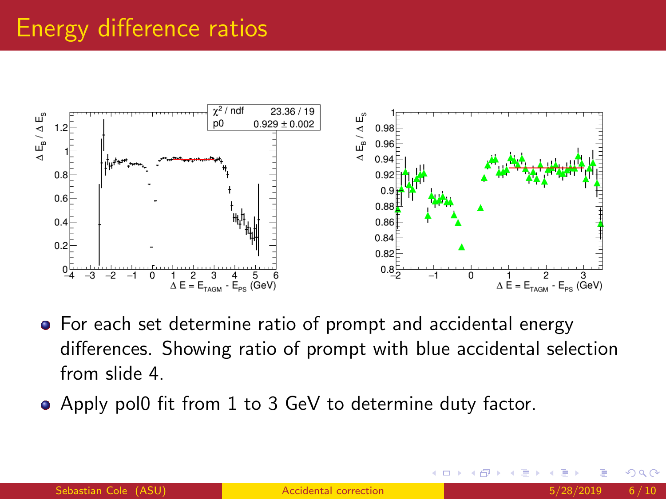### Energy difference ratios



- For each set determine ratio of prompt and accidental energy differences. Showing ratio of prompt with blue accidental selection from slide 4.
- Apply pol0 fit from 1 to 3 GeV to determine duty factor.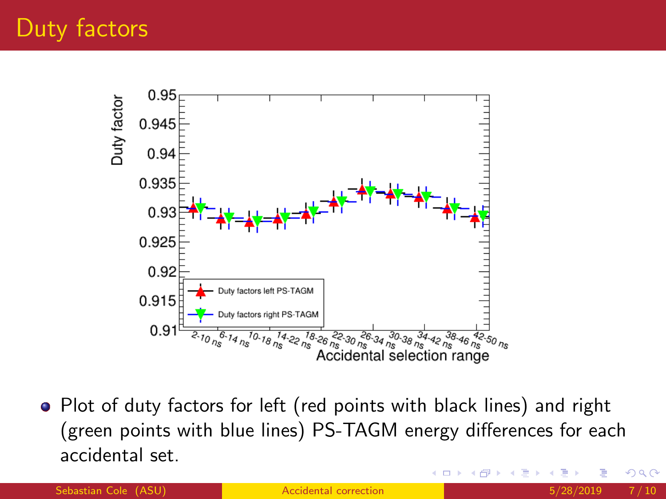

• Plot of duty factors for left (red points with black lines) and right (green points with blue lines) PS-TAGM energy differences for each accidental set.

Sebastian Cole (ASU) and The Cole (ASU) [Accidental correction](#page-0-0) and The Cole (ASU) 3/28/2019 7/10

つへへ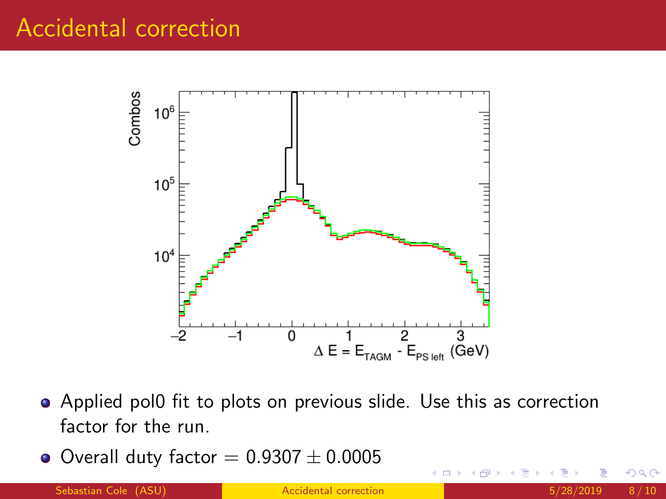#### Accidental correction



- Applied pol0 fit to plots on previous slide. Use this as correction factor for the run.
- $\bullet$  Overall duty factor = 0.9307  $\pm$  0.0005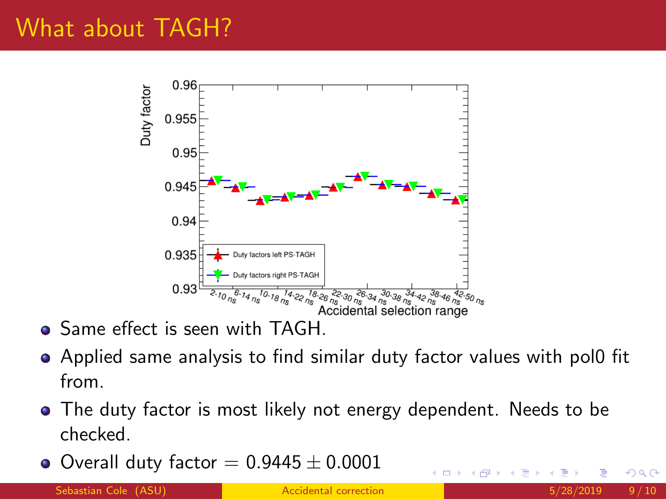### What about TAGH?



- **Same effect is seen with TAGH.**
- Applied same analysis to find similar duty factor values with pol0 fit from.
- The duty factor is most likely not energy dependent. Needs to be checked.
- $\bullet$  Overall duty factor = 0.9445  $\pm$  0.0001

Sebastian Cole (ASU) and [Accidental correction](#page-0-0) 6 and 5/28/2019 9/10

つへへ